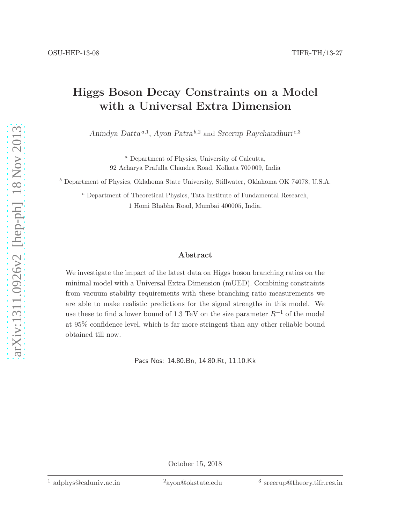## Higgs Boson Decay Constraints on a Model with a Universal Extra Dimension

Anindya Datta<sup>a,1</sup>, Ayon Patra<sup>b,2</sup> and Sreerup Raychaudhuri<sup>c,3</sup>

<sup>a</sup> Department of Physics, University of Calcutta, 92 Acharya Prafulla Chandra Road, Kolkata 700 009, India

<sup>b</sup> Department of Physics, Oklahoma State University, Stillwater, Oklahoma OK 74078, U.S.A.

<sup>c</sup> Department of Theoretical Physics, Tata Institute of Fundamental Research, 1 Homi Bhabha Road, Mumbai 400005, India.

## Abstract

We investigate the impact of the latest data on Higgs boson branching ratios on the minimal model with a Universal Extra Dimension (mUED). Combining constraints from vacuum stability requirements with these branching ratio measurements we are able to make realistic predictions for the signal strengths in this model. We use these to find a lower bound of 1.3 TeV on the size parameter  $R^{-1}$  of the model at 95% confidence level, which is far more stringent than any other reliable bound obtained till now.

Pacs Nos: 14.80.Bn, 14.80.Rt, 11.10.Kk

October 15, 2018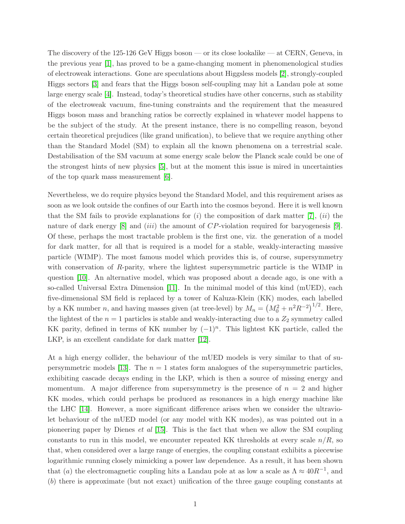The discovery of the 125-126 GeV Higgs boson — or its close lookalike — at CERN, Geneva, in the previous year [\[1\]](#page-12-0), has proved to be a game-changing moment in phenomenological studies of electroweak interactions. Gone are speculations about Higgsless models [\[2\]](#page-12-1), strongly-coupled Higgs sectors [\[3\]](#page-12-2) and fears that the Higgs boson self-coupling may hit a Landau pole at some large energy scale [\[4\]](#page-12-3). Instead, today's theoretical studies have other concerns, such as stability of the electroweak vacuum, fine-tuning constraints and the requirement that the measured Higgs boson mass and branching ratios be correctly explained in whatever model happens to be the subject of the study. At the present instance, there is no compelling reason, beyond certain theoretical prejudices (like grand unification), to believe that we require anything other than the Standard Model (SM) to explain all the known phenomena on a terrestrial scale. Destabilisation of the SM vacuum at some energy scale below the Planck scale could be one of the strongest hints of new physics [\[5\]](#page-12-4), but at the moment this issue is mired in uncertainties of the top quark mass measurement  $|6|$ .

Nevertheless, we do require physics beyond the Standard Model, and this requirement arises as soon as we look outside the confines of our Earth into the cosmos beyond. Here it is well known that the SM fails to provide explanations for  $(i)$  the composition of dark matter [\[7\]](#page-12-6),  $(ii)$  the nature of dark energy [\[8\]](#page-12-7) and *(iii)* the amount of  $CP$ -violation required for baryogenesis [\[9\]](#page-12-8). Of these, perhaps the most tractable problem is the first one, viz. the generation of a model for dark matter, for all that is required is a model for a stable, weakly-interacting massive particle (WIMP). The most famous model which provides this is, of course, supersymmetry with conservation of R-parity, where the lightest supersymmetric particle is the WIMP in question [\[10\]](#page-12-9). An alternative model, which was proposed about a decade ago, is one with a so-called Universal Extra Dimension [\[11\]](#page-12-10). In the minimal model of this kind (mUED), each five-dimensional SM field is replaced by a tower of Kaluza-Klein (KK) modes, each labelled by a KK number *n*, and having masses given (at tree-level) by  $M_n = (M_0^2 + n^2 R^{-2})^{1/2}$ . Here, the lightest of the  $n = 1$  particles is stable and weakly-interacting due to a  $Z_2$  symmetry called KK parity, defined in terms of KK number by  $(-1)^n$ . This lightest KK particle, called the LKP, is an excellent candidate for dark matter [\[12\]](#page-12-11).

At a high energy collider, the behaviour of the mUED models is very similar to that of su-persymmetric models [\[13\]](#page-12-12). The  $n = 1$  states form analogues of the supersymmetric particles, exhibiting cascade decays ending in the LKP, which is then a source of missing energy and momentum. A major difference from supersymmetry is the presence of  $n = 2$  and higher KK modes, which could perhaps be produced as resonances in a high energy machine like the LHC [\[14\]](#page-13-0). However, a more significant difference arises when we consider the ultraviolet behaviour of the mUED model (or any model with KK modes), as was pointed out in a pioneering paper by Dienes et al [\[15\]](#page-13-1). This is the fact that when we allow the SM coupling constants to run in this model, we encounter repeated KK thresholds at every scale  $n/R$ , so that, when considered over a large range of energies, the coupling constant exhibits a piecewise logarithmic running closely mimicking a power law dependence. As a result, it has been shown that (a) the electromagnetic coupling hits a Landau pole at as low a scale as  $\Lambda \approx 40R^{-1}$ , and (b) there is approximate (but not exact) unification of the three gauge coupling constants at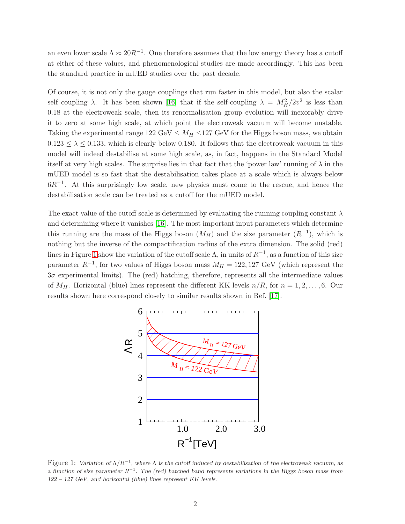an even lower scale  $\Lambda \approx 20R^{-1}$ . One therefore assumes that the low energy theory has a cutoff at either of these values, and phenomenological studies are made accordingly. This has been the standard practice in mUED studies over the past decade.

Of course, it is not only the gauge couplings that run faster in this model, but also the scalar self coupling  $\lambda$ . It has been shown [\[16\]](#page-13-2) that if the self-coupling  $\lambda = M_H^2/2v^2$  is less than 0.18 at the electroweak scale, then its renormalisation group evolution will inexorably drive it to zero at some high scale, at which point the electroweak vacuum will become unstable. Taking the experimental range  $122 \text{ GeV} \leq M_H \leq 127 \text{ GeV}$  for the Higgs boson mass, we obtain  $0.123 \leq \lambda \leq 0.133$ , which is clearly below 0.180. It follows that the electroweak vacuum in this model will indeed destabilise at some high scale, as, in fact, happens in the Standard Model itself at very high scales. The surprise lies in that fact that the 'power law' running of  $\lambda$  in the mUED model is so fast that the destabilisation takes place at a scale which is always below  $6R^{-1}$ . At this surprisingly low scale, new physics must come to the rescue, and hence the destabilisation scale can be treated as a cutoff for the mUED model.

The exact value of the cutoff scale is determined by evaluating the running coupling constant  $\lambda$ and determining where it vanishes [\[16\]](#page-13-2). The most important input parameters which determine this running are the mass of the Higgs boson  $(M_H)$  and the size parameter  $(R^{-1})$ , which is nothing but the inverse of the compactification radius of the extra dimension. The solid (red) lines in Figure [1](#page-2-0) show the variation of the cutoff scale  $\Lambda$ , in units of  $R^{-1}$ , as a function of this size parameter  $R^{-1}$ , for two values of Higgs boson mass  $M_H = 122,127$  GeV (which represent the  $3\sigma$  experimental limits). The (red) hatching, therefore, represents all the intermediate values of  $M_H$ . Horizontal (blue) lines represent the different KK levels  $n/R$ , for  $n = 1, 2, \ldots, 6$ . Our results shown here correspond closely to similar results shown in Ref. [\[17\]](#page-13-3).



<span id="page-2-0"></span>Figure 1: Variation of  $\Lambda/R^{-1}$ , where  $\Lambda$  is the cutoff induced by destabilisation of the electroweak vacuum, as a function of size parameter  $R^{-1}$ . The (red) hatched band represents variations in the Higgs boson mass from 122 – 127 GeV, and horizontal (blue) lines represent KK levels.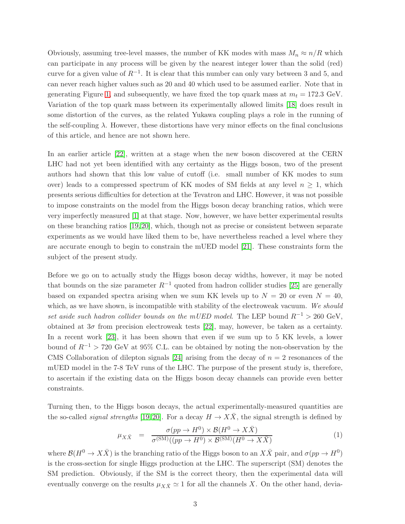Obviously, assuming tree-level masses, the number of KK modes with mass  $M_n \approx n/R$  which can participate in any process will be given by the nearest integer lower than the solid (red) curve for a given value of  $R^{-1}$ . It is clear that this number can only vary between 3 and 5, and can never reach higher values such as 20 and 40 which used to be assumed earlier. Note that in generating Figure [1,](#page-2-0) and subsequently, we have fixed the top quark mass at  $m_t = 172.3$  GeV. Variation of the top quark mass between its experimentally allowed limits [\[18\]](#page-13-4) does result in some distortion of the curves, as the related Yukawa coupling plays a role in the running of the self-coupling  $\lambda$ . However, these distortions have very minor effects on the final conclusions of this article, and hence are not shown here.

In an earlier article [\[22\]](#page-13-5), written at a stage when the new boson discovered at the CERN LHC had not yet been identified with any certainty as the Higgs boson, two of the present authors had shown that this low value of cutoff (i.e. small number of KK modes to sum over) leads to a compressed spectrum of KK modes of SM fields at any level  $n \geq 1$ , which presents serious difficulties for detection at the Tevatron and LHC. However, it was not possible to impose constraints on the model from the Higgs boson decay branching ratios, which were very imperfectly measured [\[1\]](#page-12-0) at that stage. Now, however, we have better experimental results on these branching ratios [\[19,](#page-13-6) [20\]](#page-13-7), which, though not as precise or consistent between separate experiments as we would have liked them to be, have nevertheless reached a level where they are accurate enough to begin to constrain the mUED model [\[21\]](#page-13-8). These constraints form the subject of the present study.

Before we go on to actually study the Higgs boson decay widths, however, it may be noted that bounds on the size parameter  $R^{-1}$  quoted from hadron collider studies [\[25\]](#page-13-9) are generally based on expanded spectra arising when we sum KK levels up to  $N = 20$  or even  $N = 40$ , which, as we have shown, is incompatible with stability of the electroweak vacuum. We should set aside such hadron collider bounds on the mUED model. The LEP bound  $R^{-1} > 260 \text{ GeV}$ , obtained at  $3\sigma$  from precision electroweak tests [\[22\]](#page-13-5), may, however, be taken as a certainty. In a recent work [\[23\]](#page-13-10), it has been shown that even if we sum up to 5 KK levels, a lower bound of  $R^{-1}$  > 720 GeV at 95% C.L. can be obtained by noting the non-observation by the CMS Collaboration of dilepton signals [\[24\]](#page-13-11) arising from the decay of  $n = 2$  resonances of the mUED model in the 7-8 TeV runs of the LHC. The purpose of the present study is, therefore, to ascertain if the existing data on the Higgs boson decay channels can provide even better constraints.

Turning then, to the Higgs boson decays, the actual experimentally-measured quantities are the so-called *signal strengths* [\[19,](#page-13-6) [20\]](#page-13-7). For a decay  $H \to X\overline{X}$ , the signal strength is defined by

$$
\mu_{X\bar{X}} = \frac{\sigma(pp \to H^0) \times \mathcal{B}(H^0 \to X\bar{X})}{\sigma^{(\text{SM})}((pp \to H^0) \times \mathcal{B}^{(\text{SM})}(H^0 \to X\bar{X})}
$$
(1)

where  $\mathcal{B}(H^0 \to X\bar{X})$  is the branching ratio of the Higgs boson to an  $X\bar{X}$  pair, and  $\sigma(pp \to H^0)$ is the cross-section for single Higgs production at the LHC. The superscript (SM) denotes the SM prediction. Obviously, if the SM is the correct theory, then the experimental data will eventually converge on the results  $\mu_{X\bar{X}} \simeq 1$  for all the channels X. On the other hand, devia-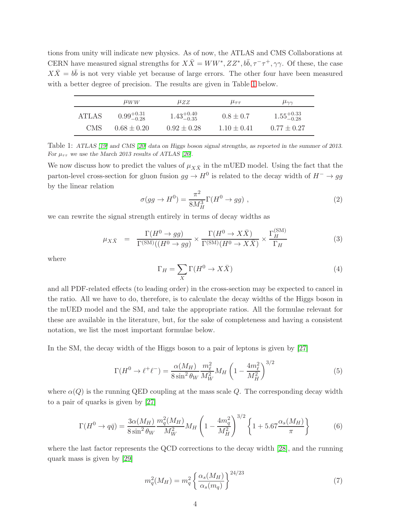tions from unity will indicate new physics. As of now, the ATLAS and CMS Collaborations at CERN have measured signal strengths for  $X\overline{X} = WW^*, ZZ^*, b\overline{b}, \tau^-\tau^+, \gamma\gamma$ . Of these, the case  $X\overline{X} = b\overline{b}$  is not very viable yet because of large errors. The other four have been measured with a better degree of precision. The results are given in Table [1](#page-4-0) below.

|              | $\mu_{WW}$             | $\mu ZZ$               | $\mu_{\tau\tau}$ | $\mu_{\gamma\gamma}$   |
|--------------|------------------------|------------------------|------------------|------------------------|
| <b>ATLAS</b> | $0.99_{-0.28}^{+0.31}$ | $1.43^{+0.40}_{-0.35}$ | $0.8 \pm 0.7$    | $1.55^{+0.33}_{-0.28}$ |
| <b>CMS</b>   | $0.68 + 0.20$          | $0.92 + 0.28$          | $1.10 \pm 0.41$  | $0.77 \pm 0.27$        |

<span id="page-4-0"></span>Table 1: ATLAS [\[19\]](#page-13-6) and CMS [\[20\]](#page-13-7) data on Higgs boson signal strengths, as reported in the summer of 2013. For  $\mu_{\tau\tau}$  we use the March 2013 results of ATLAS [\[26\]](#page-13-12).

We now discuss how to predict the values of  $\mu_{X\bar{X}}$  in the mUED model. Using the fact that the parton-level cross-section for gluon fusion  $gg \to H^0$  is related to the decay width of  $H^- \to gg$ by the linear relation

$$
\sigma(gg \to H^0) = \frac{\pi^2}{8M_H^3} \Gamma(H^0 \to gg) \;, \tag{2}
$$

we can rewrite the signal strength entirely in terms of decay widths as

<span id="page-4-1"></span>
$$
\mu_{X\bar{X}} = \frac{\Gamma(H^0 \to gg)}{\Gamma^{(\text{SM})}((H^0 \to gg)} \times \frac{\Gamma(H^0 \to X\bar{X})}{\Gamma^{(\text{SM})}(H^0 \to X\bar{X})} \times \frac{\Gamma_H^{(\text{SM})}}{\Gamma_H}
$$
(3)

where

$$
\Gamma_H = \sum_X \Gamma(H^0 \to X\bar{X}) \tag{4}
$$

and all PDF-related effects (to leading order) in the cross-section may be expected to cancel in the ratio. All we have to do, therefore, is to calculate the decay widths of the Higgs boson in the mUED model and the SM, and take the appropriate ratios. All the formulae relevant for these are available in the literature, but, for the sake of completeness and having a consistent notation, we list the most important formulae below.

In the SM, the decay width of the Higgs boson to a pair of leptons is given by [\[27\]](#page-13-13)

$$
\Gamma(H^{0} \to \ell^{+}\ell^{-}) = \frac{\alpha(M_{H})}{8\sin^{2}\theta_{W}} \frac{m_{\ell}^{2}}{M_{W}^{2}} M_{H} \left(1 - \frac{4m_{\ell}^{2}}{M_{H}^{2}}\right)^{3/2}
$$
(5)

where  $\alpha(Q)$  is the running QED coupling at the mass scale Q. The corresponding decay width to a pair of quarks is given by [\[27\]](#page-13-13)

$$
\Gamma(H^0 \to q\bar{q}) = \frac{3\alpha(M_H)}{8\sin^2\theta_W} \frac{m_q^2(M_H)}{M_W^2} M_H \left(1 - \frac{4m_q^2}{M_H^2}\right)^{3/2} \left\{1 + 5.67 \frac{\alpha_s(M_H)}{\pi}\right\}
$$
(6)

where the last factor represents the QCD corrections to the decay width [\[28\]](#page-13-14), and the running quark mass is given by [\[29\]](#page-13-15)

$$
m_q^2(M_H) = m_q^2 \left\{ \frac{\alpha_s(M_H)}{\alpha_s(m_q)} \right\}^{24/23}
$$
 (7)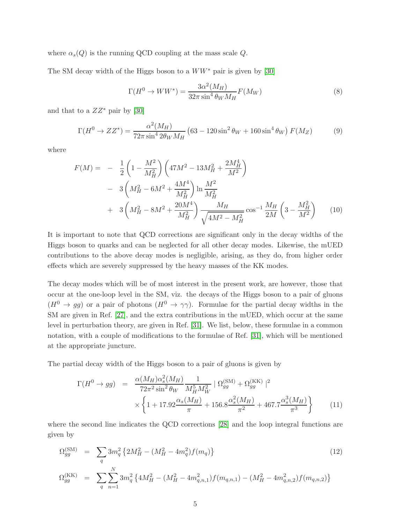where  $\alpha_s(Q)$  is the running QCD coupling at the mass scale Q.

The SM decay width of the Higgs boson to a  $WW^*$  pair is given by [\[30\]](#page-13-16)

$$
\Gamma(H^0 \to WW^*) = \frac{3\alpha^2(M_H)}{32\pi \sin^4 \theta_W M_H} F(M_W)
$$
\n(8)

and that to a  $ZZ^*$  pair by [\[30\]](#page-13-16)

$$
\Gamma(H^0 \to ZZ^*) = \frac{\alpha^2 (M_H)}{72\pi \sin^4 2\theta_W M_H} (63 - 120\sin^2 \theta_W + 160\sin^4 \theta_W) F(M_Z)
$$
(9)

where

$$
F(M) = -\frac{1}{2} \left( 1 - \frac{M^2}{M_H^2} \right) \left( 47M^2 - 13M_H^2 + \frac{2M_H^4}{M^2} \right)
$$
  
- 3  $\left( M_H^2 - 6M^2 + \frac{4M^4}{M_H^2} \right) \ln \frac{M^2}{M_H^2}$   
+ 3  $\left( M_H^2 - 8M^2 + \frac{20M^4}{M_H^2} \right) \frac{M_H}{\sqrt{4M^2 - M_H^2}} \cos^{-1} \frac{M_H}{2M} \left( 3 - \frac{M_H^2}{M^2} \right)$  (10)

It is important to note that QCD corrections are significant only in the decay widths of the Higgs boson to quarks and can be neglected for all other decay modes. Likewise, the mUED contributions to the above decay modes is negligible, arising, as they do, from higher order effects which are severely suppressed by the heavy masses of the KK modes.

The decay modes which will be of most interest in the present work, are however, those that occur at the one-loop level in the SM, viz. the decays of the Higgs boson to a pair of gluons  $(H^0 \to gg)$  or a pair of photons  $(H^0 \to \gamma\gamma)$ . Formulae for the partial decay widths in the SM are given in Ref. [\[27\]](#page-13-13), and the extra contributions in the mUED, which occur at the same level in perturbation theory, are given in Ref. [\[31\]](#page-13-17). We list, below, these formulae in a common notation, with a couple of modifications to the formulae of Ref. [\[31\]](#page-13-17), which will be mentioned at the appropriate juncture.

The partial decay width of the Higgs boson to a pair of gluons is given by

$$
\Gamma(H^{0} \to gg) = \frac{\alpha(M_{H})\alpha_{s}^{2}(M_{H})}{72\pi^{2}\sin^{2}\theta_{W}} \frac{1}{M_{H}^{5}M_{W}^{2}} |\Omega_{gg}^{(\text{SM})} + \Omega_{gg}^{(\text{KK})}|^{2} \times \left\{ 1 + 17.92 \frac{\alpha_{s}(M_{H})}{\pi} + 156.8 \frac{\alpha_{s}^{2}(M_{H})}{\pi^{2}} + 467.7 \frac{\alpha_{s}^{3}(M_{H})}{\pi^{3}} \right\}
$$
(11)

where the second line indicates the QCD corrections [\[28\]](#page-13-14) and the loop integral functions are given by

$$
\Omega_{gg}^{(\text{SM})} = \sum_{q} 3m_q^2 \left\{ 2M_H^2 - (M_H^2 - 4m_q^2) f(m_q) \right\}
$$
\n
$$
\Omega_{gg}^{(\text{KK})} = \sum_{q} \sum_{n=1}^{N} 3m_q^2 \left\{ 4M_H^2 - (M_H^2 - 4m_{q,n,1}^2) f(m_{q,n,1}) - (M_H^2 - 4m_{q,n,2}^2) f(m_{q,n,2}) \right\}
$$
\n(12)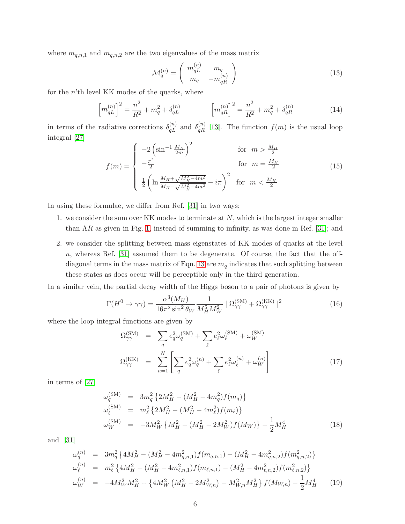where  $m_{q,n,1}$  and  $m_{q,n,2}$  are the two eigenvalues of the mass matrix

<span id="page-6-0"></span>
$$
\mathcal{M}_q^{(n)} = \left(\begin{array}{cc} m_{qL}^{(n)} & m_q \\ m_q & -m_{qR}^{(n)} \end{array}\right) \tag{13}
$$

for the  $n$ 'th level KK modes of the quarks, where

$$
\left[m_{qL}^{(n)}\right]^2 = \frac{n^2}{R^2} + m_q^2 + \delta_{qL}^{(n)} \qquad \left[m_{qR}^{(n)}\right]^2 = \frac{n^2}{R^2} + m_q^2 + \delta_{qR}^{(n)} \qquad (14)
$$

in terms of the radiative corrections  $\delta_{qL}^{(n)}$  and  $\delta_{qR}^{(n)}$  [\[13\]](#page-12-12). The function  $f(m)$  is the usual loop integral [\[27\]](#page-13-13)

$$
f(m) = \begin{cases} -2\left(\sin^{-1}\frac{M_H}{2m}\right)^2 & \text{for } m > \frac{M_H}{2} \\ -\frac{\pi^2}{2} & \text{for } m = \frac{M_H}{2} \\ \frac{1}{2}\left(\ln\frac{M_H + \sqrt{M_H^2 - 4m^2}}{M_H - \sqrt{M_H^2 - 4m^2}} - i\pi\right)^2 & \text{for } m < \frac{M_H}{2} \end{cases}
$$
(15)

In using these formulae, we differ from Ref. [\[31\]](#page-13-17) in two ways:

- 1. we consider the sum over KK modes to terminate at  $N$ , which is the largest integer smaller than  $\Lambda R$  as given in Fig. [1,](#page-2-0) instead of summing to infinity, as was done in Ref. [\[31\]](#page-13-17); and
- 2. we consider the splitting between mass eigenstates of KK modes of quarks at the level n, whereas Ref. [\[31\]](#page-13-17) assumed them to be degenerate. Of course, the fact that the off-diagonal terms in the mass matrix of Eqn. [13](#page-6-0) are  $m_q$  indicates that such splitting between these states as does occur will be perceptible only in the third generation.

In a similar vein, the partial decay width of the Higgs boson to a pair of photons is given by

$$
\Gamma(H^0 \to \gamma \gamma) = \frac{\alpha^3(M_H)}{16\pi^2 \sin^2 \theta_W} \frac{1}{M_H^5 M_W^2} \left[ \Omega_{\gamma\gamma}^{(\text{SM})} + \Omega_{\gamma\gamma}^{(\text{KK})} \right]^2 \tag{16}
$$

where the loop integral functions are given by

$$
\Omega_{\gamma\gamma}^{(\text{SM})} = \sum_{q} e_q^2 \omega_q^{(\text{SM})} + \sum_{\ell} e_{\ell}^2 \omega_{\ell}^{(\text{SM})} + \omega_W^{(\text{SM})}
$$
\n
$$
\Omega_{\gamma\gamma}^{(\text{KK})} = \sum_{n=1}^{N} \left[ \sum_{q} e_q^2 \omega_q^{(n)} + \sum_{\ell} e_{\ell}^2 \omega_{\ell}^{(n)} + \omega_W^{(n)} \right]
$$
\n(17)

in terms of [\[27\]](#page-13-13)

$$
\omega_q^{(\text{SM})} = 3m_q^2 \left\{ 2M_H^2 - (M_H^2 - 4m_q^2) f(m_q) \right\} \n\omega_\ell^{(\text{SM})} = m_\ell^2 \left\{ 2M_H^2 - (M_H^2 - 4m_\ell^2) f(m_\ell) \right\} \n\omega_W^{(\text{SM})} = -3M_W^2 \left\{ M_H^2 - (M_H^2 - 2M_W^2) f(M_W) \right\} - \frac{1}{2} M_H^4
$$
\n(18)

and [\[31\]](#page-13-17)

$$
\omega_q^{(n)} = 3m_q^2 \left\{ 4M_H^2 - (M_H^2 - 4m_{q,n,1}^2) f(m_{q,n,1}) - (M_H^2 - 4m_{q,n,2}^2) f(m_{q,n,2}^2) \right\}
$$
  
\n
$$
\omega_\ell^{(n)} = m_\ell^2 \left\{ 4M_H^2 - (M_H^2 - 4m_{\ell,n,1}^2) f(m_{\ell,n,1}) - (M_H^2 - 4m_{\ell,n,2}^2) f(m_{\ell,n,2}^2) \right\}
$$
  
\n
$$
\omega_W^{(n)} = -4M_W^2 M_H^2 + \left\{ 4M_W^2 \left( M_H^2 - 2M_{W,n}^2 \right) - M_{W,n}^2 M_H^2 \right\} f(M_{W,n}) - \frac{1}{2} M_H^4 \tag{19}
$$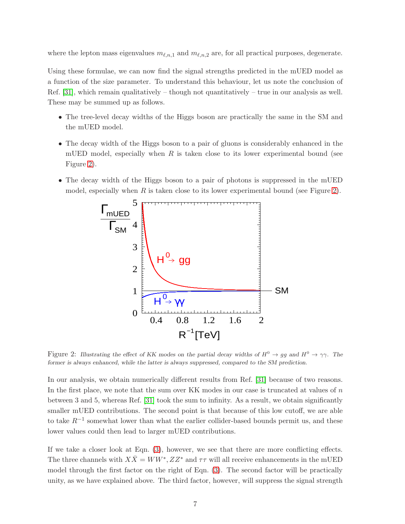where the lepton mass eigenvalues  $m_{\ell,n,1}$  and  $m_{\ell,n,2}$  are, for all practical purposes, degenerate.

Using these formulae, we can now find the signal strengths predicted in the mUED model as a function of the size parameter. To understand this behaviour, let us note the conclusion of Ref.  $[31]$ , which remain qualitatively – though not quantitatively – true in our analysis as well. These may be summed up as follows.

- The tree-level decay widths of the Higgs boson are practically the same in the SM and the mUED model.
- The decay width of the Higgs boson to a pair of gluons is considerably enhanced in the mUED model, especially when  $R$  is taken close to its lower experimental bound (see Figure [2\)](#page-7-0).
- The decay width of the Higgs boson to a pair of photons is suppressed in the mUED model, especially when R is taken close to its lower experimental bound (see Figure [2\)](#page-7-0).



<span id="page-7-0"></span>Figure 2: Illustrating the effect of KK modes on the partial decay widths of  $H^0 \to gg$  and  $H^0 \to \gamma\gamma$ . The former is always enhanced, while the latter is always suppressed, compared to the SM prediction.

In our analysis, we obtain numerically different results from Ref. [\[31\]](#page-13-17) because of two reasons. In the first place, we note that the sum over KK modes in our case is truncated at values of n between 3 and 5, whereas Ref. [\[31\]](#page-13-17) took the sum to infinity. As a result, we obtain significantly smaller mUED contributions. The second point is that because of this low cutoff, we are able to take  $R^{-1}$  somewhat lower than what the earlier collider-based bounds permit us, and these lower values could then lead to larger mUED contributions.

If we take a closer look at Eqn. [\(3\)](#page-4-1), however, we see that there are more conflicting effects. The three channels with  $X\overline{X} = WW^*, ZZ^*$  and  $\tau\tau$  will all receive enhancements in the mUED model through the first factor on the right of Eqn. [\(3\)](#page-4-1). The second factor will be practically unity, as we have explained above. The third factor, however, will suppress the signal strength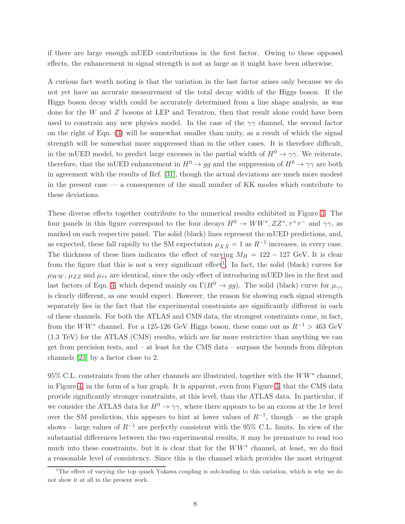if there are large enough mUED contributions in the first factor. Owing to these opposed effects, the enhancement in signal strength is not as large as it might have been otherwise.

A curious fact worth noting is that the variation in the last factor arises only because we do not yet have an accurate measurement of the total decay width of the Higgs boson. If the Higgs boson decay width could be accurately determined from a line shape analysis, as was done for the W and Z bosons at LEP and Tevatron, then that result alone could have been used to constrain any new physics model. In the case of the  $\gamma\gamma$  channel, the second factor on the right of Eqn. [\(3\)](#page-4-1) will be somewhat smaller than unity, as a result of which the signal strength will be somewhat more suppressed than in the other cases. It is therefore difficult, in the mUED model, to predict large excesses in the partial width of  $H^0 \to \gamma\gamma$ . We reiterate, therefore, that the mUED enhancement in  $H^0 \to gg$  and the suppression of  $H^0 \to \gamma\gamma$  are both in agreement with the results of Ref. [\[31\]](#page-13-17), though the actual deviations are much more modest in the present case  $\frac{1}{10}$  a consequence of the small number of KK modes which contribute to these deviations.

These diverse effects together contribute to the numerical results exhibited in Figure [3.](#page-9-0) The four panels in this figure correspond to the four decays  $H^0 \to WW^*, ZZ^*, \tau^+\tau^-$  and  $\gamma\gamma$ , as marked on each respective panel. The solid (black) lines represent the mUED predictions, and, as expected, these fall rapidly to the SM expectation  $\mu_{X\bar{X}} = 1$  as  $R^{-1}$  increases, in every case. The thickness of these lines indicates the effect of varying  $M_H = 122 - 127$  GeV. It is clear from the figure that this is not a very significant effect<sup>[1](#page-8-0)</sup>. In fact, the solid (black) curves for  $\mu_{WW}$ ,  $\mu_{ZZ}$  and  $\mu_{\tau\tau}$  are identical, since the only effect of introducing mUED lies in the first and last factors of Eqn. [3,](#page-4-1) which depend mainly on  $\Gamma(H^0 \to gg)$ . The solid (black) curve for  $\mu_{\gamma\gamma}$ is clearly different, as one would expect. However, the reason for showing each signal strength separately lies in the fact that the experimental constraints are significantly different in each of these channels. For both the ATLAS and CMS data, the strongest constraints come, in fact, from the  $WW^*$  channel. For a 125-126 GeV Higgs boson, these come out as  $R^{-1} > 463$  GeV (1.3 TeV) for the ATLAS (CMS) results, which are far more restrictive than anything we can get from precision tests, and – at least for the CMS data – surpass the bounds from dilepton channels [\[23\]](#page-13-10) by a factor close to 2.

95% C.L. constraints from the other channels are illustrated, together with the  $WW^*$  channel, in Figure [4,](#page-10-0) in the form of a bar graph. It is apparent, even from Figure [3,](#page-9-0) that the CMS data provide significantly stronger constraints, at this level, than the ATLAS data. In particular, if we consider the ATLAS data for  $H^0 \to \gamma\gamma$ , where there appears to be an excess at the  $1\sigma$  level over the SM prediction, this appears to hint at lower values of  $R^{-1}$ , though – as the graph shows – large values of  $R^{-1}$  are perfectly consistent with the 95% C.L. limits. In view of the substantial differences between the two experimental results, it may be premature to read too much into these constraints, but it is clear that for the  $WW^*$  channel, at least, we do find a reasonable level of consistency. Since this is the channel which provides the most stringent

<span id="page-8-0"></span><sup>&</sup>lt;sup>1</sup>The effect of varying the top quark Yukawa coupling is sub-leading to this variation, which is why we do not show it at all in the present work.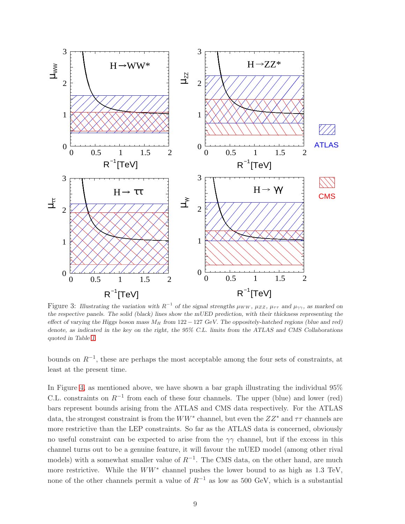

<span id="page-9-0"></span>Figure 3: Illustrating the variation with  $R^{-1}$  of the signal strengths  $\mu_{WW}$ ,  $\mu_{ZZ}$ ,  $\mu_{\tau\tau}$  and  $\mu_{\gamma\gamma}$ , as marked on the respective panels. The solid (black) lines show the mUED prediction, with their thickness representing the effect of varying the Higgs boson mass  $M_H$  from 122 − 127 GeV. The oppositely-hatched regions (blue and red) denote, as indicated in the key on the right, the 95% C.L. limits from the ATLAS and CMS Collaborations quoted in Table [1.](#page-4-0)

bounds on  $R^{-1}$ , these are perhaps the most acceptable among the four sets of constraints, at least at the present time.

In Figure [4,](#page-10-0) as mentioned above, we have shown a bar graph illustrating the individual 95% C.L. constraints on  $R^{-1}$  from each of these four channels. The upper (blue) and lower (red) bars represent bounds arising from the ATLAS and CMS data respectively. For the ATLAS data, the strongest constraint is from the  $WW^*$  channel, but even the  $ZZ^*$  and  $\tau\tau$  channels are more restrictive than the LEP constraints. So far as the ATLAS data is concerned, obviously no useful constraint can be expected to arise from the  $\gamma\gamma$  channel, but if the excess in this channel turns out to be a genuine feature, it will favour the mUED model (among other rival models) with a somewhat smaller value of  $R^{-1}$ . The CMS data, on the other hand, are much more restrictive. While the  $WW^*$  channel pushes the lower bound to as high as 1.3 TeV, none of the other channels permit a value of  $R^{-1}$  as low as 500 GeV, which is a substantial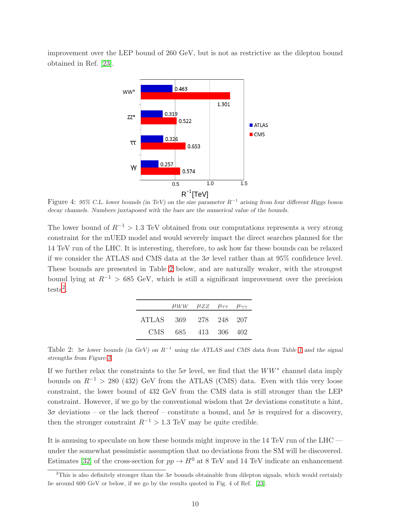improvement over the LEP bound of 260 GeV, but is not as restrictive as the dilepton bound obtained in Ref. [\[23\]](#page-13-10).



<span id="page-10-0"></span>Figure 4: 95% C.L. lower bounds (in TeV) on the size parameter  $R^{-1}$  arising from four different Higgs boson decay channels. Numbers juxtaposed with the bars are the numerical value of the bounds.

The lower bound of  $R^{-1} > 1.3$  TeV obtained from our computations represents a very strong constraint for the mUED model and would severely impact the direct searches planned for the 14 TeV run of the LHC. It is interesting, therefore, to ask how far these bounds can be relaxed if we consider the ATLAS and CMS data at the  $3\sigma$  level rather than at 95% confidence level. These bounds are presented in Table [2](#page-10-1) below, and are naturally weaker, with the strongest bound lying at  $R^{-1} > 685$  GeV, which is still a significant improvement over the precision  $tests<sup>2</sup>$  $tests<sup>2</sup>$  $tests<sup>2</sup>$ .

|       |         | $\mu_{WW}$ $\mu_{ZZ}$ $\mu_{\tau\tau}$ $\mu_{\gamma\gamma}$ |  |
|-------|---------|-------------------------------------------------------------|--|
| ATLAS | - 369 - | 278 248 207                                                 |  |
| CMS – |         | 685 413 306 402                                             |  |

<span id="page-10-1"></span>Table 2:  $3\sigma$  lower bounds (in GeV) on  $R^{-1}$  using the ATLAS and CMS data from Table [1](#page-4-0) and the signal strengths from Figure [3.](#page-9-0)

If we further relax the constraints to the  $5\sigma$  level, we find that the  $WW^*$  channel data imply bounds on  $R^{-1}$  > 280 (432) GeV from the ATLAS (CMS) data. Even with this very loose constraint, the lower bound of 432 GeV from the CMS data is still stronger than the LEP constraint. However, if we go by the conventional wisdom that  $2\sigma$  deviations constitute a hint,  $3\sigma$  deviations – or the lack thereof – constitute a bound, and  $5\sigma$  is required for a discovery, then the stronger constraint  $R^{-1} > 1.3$  TeV may be quite credible.

It is amusing to speculate on how these bounds might improve in the 14 TeV run of the LHC under the somewhat pessimistic assumption that no deviations from the SM will be discovered. Estimates [\[32\]](#page-13-18) of the cross-section for  $pp \to H^0$  at 8 TeV and 14 TeV indicate an enhancement

<span id="page-10-2"></span><sup>&</sup>lt;sup>2</sup>This is also definitely stronger than the  $3\sigma$  bounds obtainable from dilepton signals, which would certainly lie around 600 GeV or below, if we go by the results quoted in Fig. 4 of Ref. [\[23\]](#page-13-10).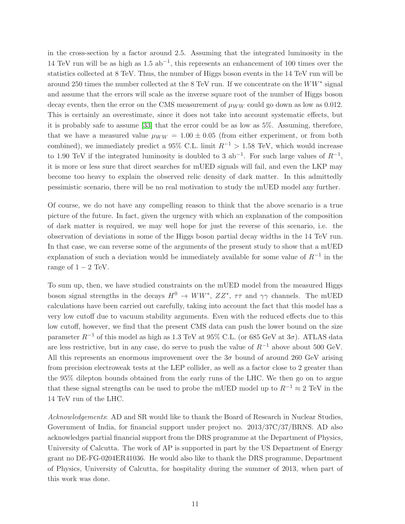in the cross-section by a factor around 2.5. Assuming that the integrated luminosity in the 14 TeV run will be as high as  $1.5$  ab<sup>-1</sup>, this represents an enhancement of 100 times over the statistics collected at 8 TeV. Thus, the number of Higgs boson events in the 14 TeV run will be around 250 times the number collected at the 8 TeV run. If we concentrate on the  $WW^*$  signal and assume that the errors will scale as the inverse square root of the number of Higgs boson decay events, then the error on the CMS measurement of  $\mu_{WW}$  could go down as low as 0.012. This is certainly an overestimate, since it does not take into account systematic effects, but it is probably safe to assume [\[33\]](#page-13-19) that the error could be as low as 5%. Assuming, therefore, that we have a measured value  $\mu_{WW} = 1.00 \pm 0.05$  (from either experiment, or from both combined), we immediately predict a 95% C.L. limit  $R^{-1} > 1.58$  TeV, which would increase to 1.90 TeV if the integrated luminosity is doubled to 3  $ab^{-1}$ . For such large values of  $R^{-1}$ , it is more or less sure that direct searches for mUED signals will fail, and even the LKP may become too heavy to explain the observed relic density of dark matter. In this admittedly pessimistic scenario, there will be no real motivation to study the mUED model any further.

Of course, we do not have any compelling reason to think that the above scenario is a true picture of the future. In fact, given the urgency with which an explanation of the composition of dark matter is required, we may well hope for just the reverse of this scenario, i.e. the observation of deviations in some of the Higgs boson partial decay widths in the 14 TeV run. In that case, we can reverse some of the arguments of the present study to show that a mUED explanation of such a deviation would be immediately available for some value of  $R^{-1}$  in the range of  $1 - 2$  TeV.

To sum up, then, we have studied constraints on the mUED model from the measured Higgs boson signal strengths in the decays  $H^0 \to WW^*$ ,  $ZZ^*$ ,  $\tau\tau$  and  $\gamma\gamma$  channels. The mUED calculations have been carried out carefully, taking into account the fact that this model has a very low cutoff due to vacuum stability arguments. Even with the reduced effects due to this low cutoff, however, we find that the present CMS data can push the lower bound on the size parameter  $R^{-1}$  of this model as high as 1.3 TeV at 95% C.L. (or 685 GeV at 3 $\sigma$ ). ATLAS data are less restrictive, but in any case, do serve to push the value of  $R^{-1}$  above about 500 GeV. All this represents an enormous improvement over the  $3\sigma$  bound of around 260 GeV arising from precision electroweak tests at the LEP collider, as well as a factor close to 2 greater than the 95% dilepton bounds obtained from the early runs of the LHC. We then go on to argue that these signal strengths can be used to probe the mUED model up to  $R^{-1} \approx 2 \text{ TeV}$  in the 14 TeV run of the LHC.

Acknowledgements: AD and SR would like to thank the Board of Research in Nuclear Studies, Government of India, for financial support under project no. 2013/37C/37/BRNS. AD also acknowledges partial financial support from the DRS programme at the Department of Physics, University of Calcutta. The work of AP is supported in part by the US Department of Energy grant no DE-FG-0204ER41036. He would also like to thank the DRS programme, Department of Physics, University of Calcutta, for hospitality during the summer of 2013, when part of this work was done.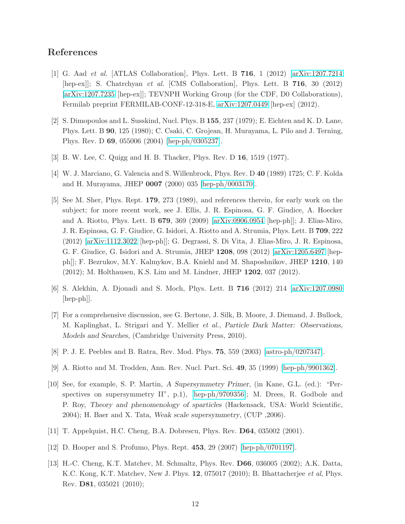## <span id="page-12-0"></span>References

- [1] G. Aad et al. [ATLAS Collaboration], Phys. Lett. B 716, 1 (2012) [\[arXiv:1207.7214](http://arxiv.org/abs/1207.7214) [hep-ex]]; S. Chatrchyan et al. [CMS Collaboration], Phys. Lett. B 716, 30 (2012) [\[arXiv:1207.7235](http://arxiv.org/abs/1207.7235) [hep-ex]]; TEVNPH Working Group (for the CDF, D0 Collaborations), Fermilab preprint FERMILAB-CONF-12-318-E, [arXiv:1207.0449](http://arxiv.org/abs/1207.0449) [hep-ex] (2012).
- <span id="page-12-1"></span>[2] S. Dimopoulos and L. Susskind, Nucl. Phys. B 155, 237 (1979); E. Eichten and K. D. Lane, Phys. Lett. B 90, 125 (1980); C. Csaki, C. Grojean, H. Murayama, L. Pilo and J. Terning, Phys. Rev. D 69, 055006 (2004) [\[hep-ph/0305237\]](http://arxiv.org/abs/hep-ph/0305237).
- <span id="page-12-3"></span><span id="page-12-2"></span>[3] B. W. Lee, C. Quigg and H. B. Thacker, Phys. Rev. D 16, 1519 (1977).
- <span id="page-12-4"></span>[4] W. J. Marciano, G. Valencia and S. Willenbrock, Phys. Rev. D 40 (1989) 1725; C. F. Kolda and H. Murayama, JHEP 0007 (2000) 035 [\[hep-ph/0003170\]](http://arxiv.org/abs/hep-ph/0003170).
- [5] See M. Sher, Phys. Rept. 179, 273 (1989), and references therein, for early work on the subject; for more recent work, see J. Ellis, J. R. Espinosa, G. F. Giudice, A. Hoecker and A. Riotto, Phys. Lett. B 679, 369 (2009) [\[arXiv:0906.0954](http://arxiv.org/abs/0906.0954) [hep-ph]]; J. Elias-Miro, J. R. Espinosa, G. F. Giudice, G. Isidori, A. Riotto and A. Strumia, Phys. Lett. B 709, 222 (2012) [\[arXiv:1112.3022](http://arxiv.org/abs/1112.3022) [hep-ph]]; G. Degrassi, S. Di Vita, J. Elias-Miro, J. R. Espinosa, G. F. Giudice, G. Isidori and A. Strumia, JHEP 1208, 098 (2012) [\[arXiv:1205.6497](http://arxiv.org/abs/1205.6497) [hepph]]; F. Bezrukov, M.Y. Kalmykov, B.A. Kniehl and M. Shaposhnikov, JHEP 1210, 140 (2012); M. Holthausen, K.S. Lim and M. Lindner, JHEP 1202, 037 (2012).
- <span id="page-12-6"></span><span id="page-12-5"></span>[6] S. Alekhin, A. Djouadi and S. Moch, Phys. Lett. B 716 (2012) 214 [\[arXiv:1207.0980](http://arxiv.org/abs/1207.0980) [hep-ph]].
- [7] For a comprehensive discussion, see G. Bertone, J. Silk, B. Moore, J. Diemand, J. Bullock, M. Kaplinghat, L. Strigari and Y. Mellier et al., Particle Dark Matter: Observations, Models and Searches, (Cambridge University Press, 2010).
- <span id="page-12-8"></span><span id="page-12-7"></span>[8] P. J. E. Peebles and B. Ratra, Rev. Mod. Phys. 75, 559 (2003) [\[astro-ph/0207347\]](http://arxiv.org/abs/astro-ph/0207347).
- <span id="page-12-9"></span>[9] A. Riotto and M. Trodden, Ann. Rev. Nucl. Part. Sci. 49, 35 (1999) [\[hep-ph/9901362\]](http://arxiv.org/abs/hep-ph/9901362).
- [10] See, for example, S. P. Martin, A Supersymmetry Primer, (in Kane, G.L. (ed.): "Perspectives on supersymmetry II", p.1), [\[hep-ph/9709356\]](http://arxiv.org/abs/hep-ph/9709356); M. Drees, R. Godbole and P. Roy, Theory and phenomenology of sparticles (Hackensack, USA: World Scientific, 2004); H. Baer and X. Tata, Weak scale supersymmetry, (CUP ,2006).
- <span id="page-12-11"></span><span id="page-12-10"></span>[11] T. Appelquist, H.C. Cheng, B.A. Dobrescu, Phys. Rev. D64, 035002 (2001).
- <span id="page-12-12"></span>[12] D. Hooper and S. Profumo, Phys. Rept. 453, 29 (2007) [\[hep-ph/0701197\]](http://arxiv.org/abs/hep-ph/0701197).
- [13] H.-C. Cheng, K.T. Matchev, M. Schmaltz, Phys. Rev. D66, 036005 (2002); A.K. Datta, K.C. Kong, K.T. Matchev, New J. Phys. 12, 075017 (2010); B. Bhattacherjee et al, Phys. Rev. D81, 035021 (2010);